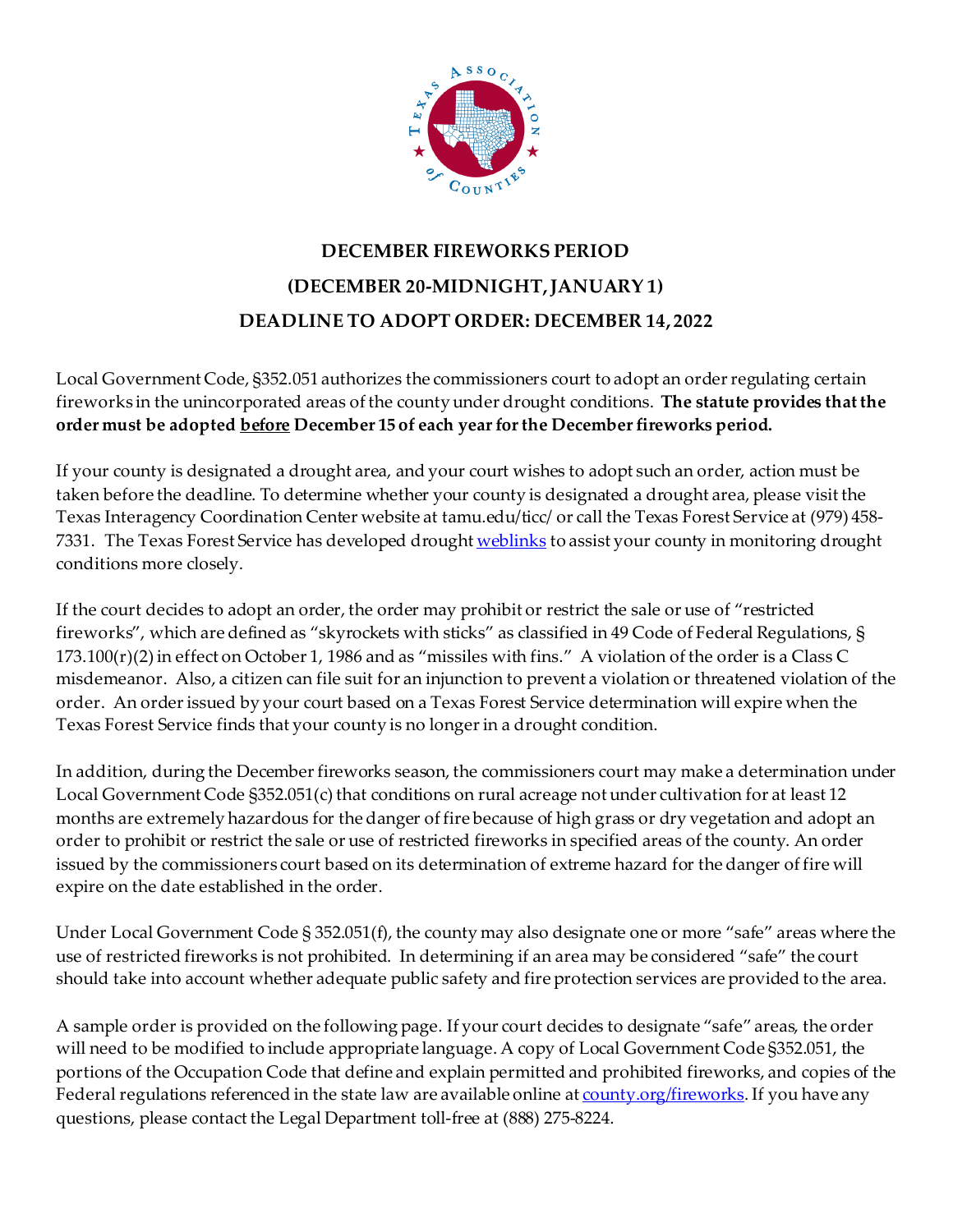

## **DECEMBER FIREWORKS PERIOD (DECEMBER 20-MIDNIGHT, JANUARY 1) DEADLINE TO ADOPT ORDER: DECEMBER 14, 2022**

Local Government Code, §352.051 authorizes the commissioners court to adopt an order regulating certain fireworks in the unincorporated areas of the county under drought conditions. **The statute provides that the order must be adopted before December 15 of each year for the December fireworks period.** 

If your county is designated a drought area, and your court wishes to adopt such an order, action must be taken before the deadline. To determine whether your county is designated a drought area, please visit the Texas Interagency Coordination Center website at tamu.edu/ticc/ or call the Texas Forest Service at (979) 458 7331. The Texas Forest Service has developed drough[t weblinks](http://texasforestservice.tamu.edu/content/article.aspx?id=19740) to assist your county in monitoring drought conditions more closely.

If the court decides to adopt an order, the order may prohibit or restrict the sale or use of "restricted fireworks", which are defined as "skyrockets with sticks" as classified in 49 Code of Federal Regulations, § 173.100(r)(2) in effect on October 1, 1986 and as "missiles with fins." A violation of the order is a Class C misdemeanor. Also, a citizen can file suit for an injunction to prevent a violation or threatened violation of the order. An order issued by your court based on a Texas Forest Service determination will expire when the Texas Forest Service finds that your county is no longer in a drought condition.

In addition, during the December fireworks season, the commissioners court may make a determination under Local Government Code §352.051(c) that conditions on rural acreage not under cultivation for at least 12 months are extremely hazardous for the danger of fire because of high grass or dry vegetation and adopt an order to prohibit or restrict the sale or use of restricted fireworks in specified areas of the county. An order issued by the commissioners court based on its determination of extreme hazard for the danger of fire will expire on the date established in the order.

Under Local Government Code § 352.051(f), the county may also designate one or more "safe" areas where the use of restricted fireworks is not prohibited. In determining if an area may be considered "safe" the court should take into account whether adequate public safety and fire protection services are provided to the area.

A sample order is provided on the following page. If your court decides to designate "safe" areas, the order will need to be modified to include appropriate language. A copy of Local Government Code §352.051, the portions of the Occupation Code that define and explain permitted and prohibited fireworks, and copies of the Federal regulations referenced in the state law are available online at [county.org/fireworks](http://www.county.org/fireworks). If you have any questions, please contact the Legal Department toll-free at (888) 275-8224.